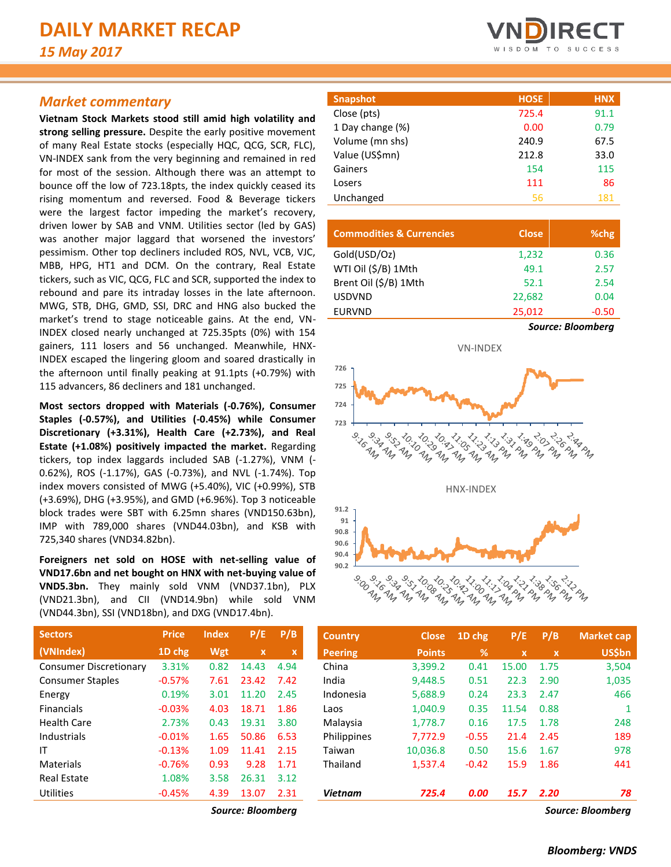# *Market commentary*

**Vietnam Stock Markets stood still amid high volatility and strong selling pressure.** Despite the early positive movement of many Real Estate stocks (especially HQC, QCG, SCR, FLC), VN-INDEX sank from the very beginning and remained in red for most of the session. Although there was an attempt to bounce off the low of 723.18pts, the index quickly ceased its rising momentum and reversed. Food & Beverage tickers were the largest factor impeding the market's recovery, driven lower by SAB and VNM. Utilities sector (led by GAS) was another major laggard that worsened the investors' pessimism. Other top decliners included ROS, NVL, VCB, VJC, MBB, HPG, HT1 and DCM. On the contrary, Real Estate tickers, such as VIC, QCG, FLC and SCR, supported the index to rebound and pare its intraday losses in the late afternoon. MWG, STB, DHG, GMD, SSI, DRC and HNG also bucked the market's trend to stage noticeable gains. At the end, VN-INDEX closed nearly unchanged at 725.35pts (0%) with 154 gainers, 111 losers and 56 unchanged. Meanwhile, HNX-INDEX escaped the lingering gloom and soared drastically in the afternoon until finally peaking at 91.1pts (+0.79%) with 115 advancers, 86 decliners and 181 unchanged.

**Most sectors dropped with Materials (-0.76%), Consumer Staples (-0.57%), and Utilities (-0.45%) while Consumer Discretionary (+3.31%), Health Care (+2.73%), and Real Estate (+1.08%) positively impacted the market.** Regarding tickers, top index laggards included SAB (-1.27%), VNM (- 0.62%), ROS (-1.17%), GAS (-0.73%), and NVL (-1.74%). Top index movers consisted of MWG (+5.40%), VIC (+0.99%), STB (+3.69%), DHG (+3.95%), and GMD (+6.96%). Top 3 noticeable block trades were SBT with 6.25mn shares (VND150.63bn), IMP with 789,000 shares (VND44.03bn), and KSB with 725,340 shares (VND34.82bn).

**Foreigners net sold on HOSE with net-selling value of VND17.6bn and net bought on HNX with net-buying value of VND5.3bn.** They mainly sold VNM (VND37.1bn), PLX (VND21.3bn), and CII (VND14.9bn) while sold VNM (VND44.3bn), SSI (VND18bn), and DXG (VND17.4bn).

| <b>Sectors</b>                | <b>Price</b> | <b>Index</b> | P/E                       | P/B  |
|-------------------------------|--------------|--------------|---------------------------|------|
| (VNIndex)                     | 1D chg       | <b>Wgt</b>   | $\boldsymbol{\mathsf{x}}$ | x    |
| <b>Consumer Discretionary</b> | 3.31%        | 0.82         | 14.43                     | 4.94 |
| <b>Consumer Staples</b>       | $-0.57%$     | 7.61         | 23.42                     | 7.42 |
| Energy                        | 0.19%        | 3.01         | 11.20                     | 2.45 |
| <b>Financials</b>             | $-0.03%$     | 4.03         | 18.71                     | 1.86 |
| Health Care                   | 2.73%        | 0.43         | 19.31                     | 3.80 |
| Industrials                   | $-0.01%$     | 1.65         | 50.86                     | 6.53 |
| ΙT                            | $-0.13%$     | 1.09         | 11.41                     | 2.15 |
| Materials                     | $-0.76%$     | 0.93         | 9.28                      | 1.71 |
| <b>Real Estate</b>            | 1.08%        | 3.58         | 26.31                     | 3.12 |
| Utilities                     | $-0.45%$     | 4.39         | 13.07                     | 2.31 |



| <b>Snapshot</b>  | <b>HOSE</b> | <b>HNX</b> |
|------------------|-------------|------------|
| Close (pts)      | 725.4       | 91.1       |
| 1 Day change (%) | 0.00        | 0.79       |
| Volume (mn shs)  | 240.9       | 67.5       |
| Value (US\$mn)   | 212.8       | 33.0       |
| Gainers          | 154         | 115        |
| Losers           | 111         | 86         |
| Unchanged        | 56          | 181        |

| <b>Commodities &amp; Currencies</b> | <b>Close</b> | %chg                     |
|-------------------------------------|--------------|--------------------------|
| Gold(USD/Oz)                        | 1,232        | 0.36                     |
| WTI Oil (\$/B) 1Mth                 | 49.1         | 2.57                     |
| Brent Oil (\$/B) 1Mth               | 52.1         | 2.54                     |
| <b>USDVND</b>                       | 22.682       | 0.04                     |
| <b>EURVND</b>                       | 25,012       | $-0.50$                  |
|                                     |              | <b>Source: Bloomberg</b> |



| <b>Sectors</b>                | <b>Price</b> | <b>Index</b> | P/E               | P/B         | <b>Country</b> | <b>Close</b>  | 1D chg  | P/E         | P/B          | <b>Market cap</b> |
|-------------------------------|--------------|--------------|-------------------|-------------|----------------|---------------|---------|-------------|--------------|-------------------|
| (VNIndex)                     | 1D chg       | Wgt          | $\mathbf{x}$      | $\mathbf x$ | <b>Peering</b> | <b>Points</b> | %       | $\mathbf x$ | $\mathbf{x}$ | <b>US\$bn</b>     |
| <b>Consumer Discretionary</b> | 3.31%        | 0.82         | 14.43             | 4.94        | China          | 3,399.2       | 0.41    | 15.00       | 1.75         | 3,504             |
| <b>Consumer Staples</b>       | $-0.57%$     | 7.61         | 23.42             | 7.42        | India          | 9.448.5       | 0.51    | 22.3        | 2.90         | 1,035             |
| Energy                        | 0.19%        | 3.01         | 11.20             | 2.45        | Indonesia      | 5,688.9       | 0.24    | 23.3        | 2.47         | 466               |
| Financials                    | $-0.03%$     | 4.03         | 18.71             | 1.86        | Laos           | 1.040.9       | 0.35    | 11.54       | 0.88         |                   |
| Health Care                   | 2.73%        | 0.43         | 19.31             | 3.80        | Malaysia       | 1,778.7       | 0.16    | 17.5        | 1.78         | 248               |
| Industrials                   | $-0.01%$     | 1.65         | 50.86             | 6.53        | Philippines    | 7.772.9       | $-0.55$ | 21.4        | 2.45         | 189               |
| IΤ                            | $-0.13%$     | 1.09         | 11.41             | 2.15        | Taiwan         | 10,036.8      | 0.50    | 15.6        | 1.67         | 978               |
| <b>Materials</b>              | $-0.76%$     | 0.93         | 9.28              | 1.71        | Thailand       | 1,537.4       | $-0.42$ | 15.9        | 1.86         | 441               |
| <b>Real Estate</b>            | 1.08%        | 3.58         | 26.31             | 3.12        |                |               |         |             |              |                   |
| Utilities                     | $-0.45%$     | 4.39         | 13.07             | 2.31        | <b>Vietnam</b> | 725.4         | 0.00    | <b>15.7</b> | 2.20         | 78                |
|                               |              |              | Source: Bloomberg |             |                |               |         |             |              | Source: Bloomberg |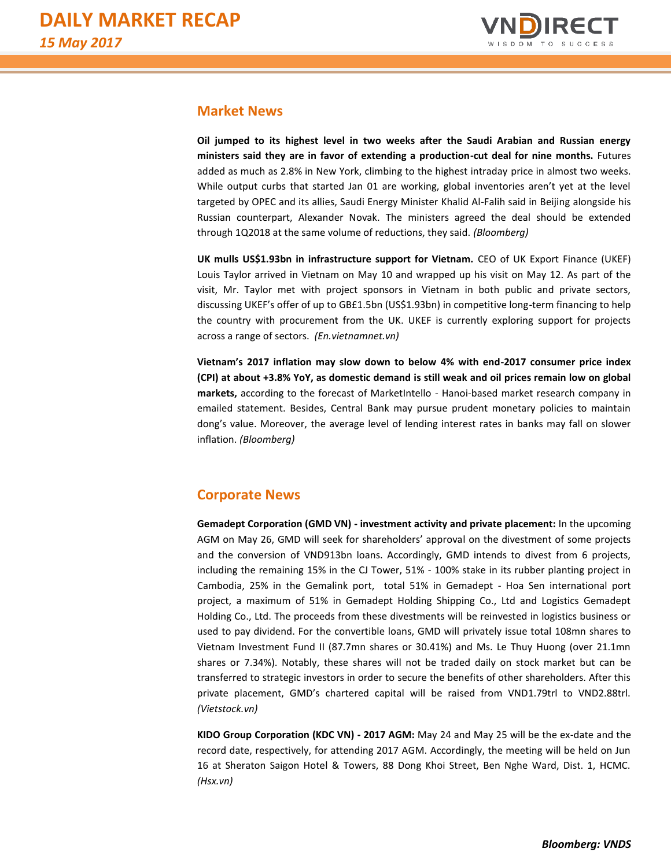

## **Market News**

**Oil jumped to its highest level in two weeks after the Saudi Arabian and Russian energy ministers said they are in favor of extending a production-cut deal for nine months.** Futures added as much as 2.8% in New York, climbing to the highest intraday price in almost two weeks. While output curbs that started Jan 01 are working, global inventories aren't yet at the level targeted by OPEC and its allies, Saudi Energy Minister Khalid Al-Falih said in Beijing alongside his Russian counterpart, Alexander Novak. The ministers agreed the deal should be extended through 1Q2018 at the same volume of reductions, they said. *(Bloomberg)*

**UK mulls US\$1.93bn in infrastructure support for Vietnam.** CEO of UK Export Finance (UKEF) Louis Taylor arrived in Vietnam on May 10 and wrapped up his visit on May 12. As part of the visit, Mr. Taylor met with project sponsors in Vietnam in both public and private sectors, discussing UKEF's offer of up to GB£1.5bn (US\$1.93bn) in competitive long-term financing to help the country with procurement from the UK. UKEF is currently exploring support for projects across a range of sectors. *(En.vietnamnet.vn)*

**Vietnam's 2017 inflation may slow down to below 4% with end-2017 consumer price index (CPI) at about +3.8% YoY, as domestic demand is still weak and oil prices remain low on global markets,** according to the forecast of MarketIntello - Hanoi-based market research company in emailed statement. Besides, Central Bank may pursue prudent monetary policies to maintain dong's value. Moreover, the average level of lending interest rates in banks may fall on slower inflation. *(Bloomberg)*

# **Corporate News**

**Gemadept Corporation (GMD VN) - investment activity and private placement:** In the upcoming AGM on May 26, GMD will seek for shareholders' approval on the divestment of some projects and the conversion of VND913bn loans. Accordingly, GMD intends to divest from 6 projects, including the remaining 15% in the CJ Tower, 51% - 100% stake in its rubber planting project in Cambodia, 25% in the Gemalink port, total 51% in Gemadept - Hoa Sen international port project, a maximum of 51% in Gemadept Holding Shipping Co., Ltd and Logistics Gemadept Holding Co., Ltd. The proceeds from these divestments will be reinvested in logistics business or used to pay dividend. For the convertible loans, GMD will privately issue total 108mn shares to Vietnam Investment Fund II (87.7mn shares or 30.41%) and Ms. Le Thuy Huong (over 21.1mn shares or 7.34%). Notably, these shares will not be traded daily on stock market but can be transferred to strategic investors in order to secure the benefits of other shareholders. After this private placement, GMD's chartered capital will be raised from VND1.79trl to VND2.88trl. *(Vietstock.vn)*

**KIDO Group Corporation (KDC VN) - 2017 AGM:** May 24 and May 25 will be the ex-date and the record date, respectively, for attending 2017 AGM. Accordingly, the meeting will be held on Jun 16 at Sheraton Saigon Hotel & Towers, 88 Dong Khoi Street, Ben Nghe Ward, Dist. 1, HCMC. *(Hsx.vn)*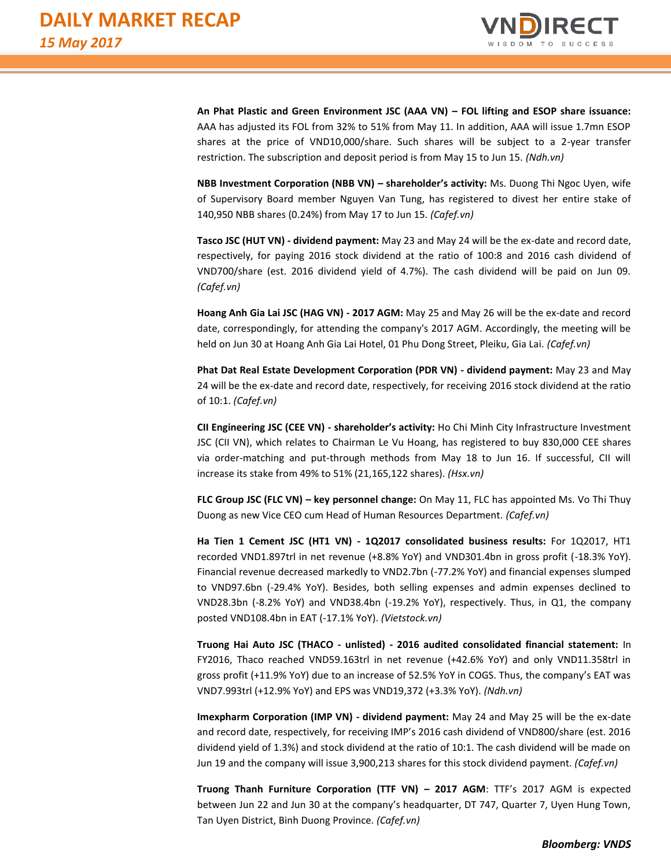

**An Phat Plastic and Green Environment JSC (AAA VN) – FOL lifting and ESOP share issuance:**  AAA has adjusted its FOL from 32% to 51% from May 11. In addition, AAA will issue 1.7mn ESOP shares at the price of VND10,000/share. Such shares will be subject to a 2-year transfer restriction. The subscription and deposit period is from May 15 to Jun 15. *(Ndh.vn)*

**NBB Investment Corporation (NBB VN) – shareholder's activity:** Ms. Duong Thi Ngoc Uyen, wife of Supervisory Board member Nguyen Van Tung, has registered to divest her entire stake of 140,950 NBB shares (0.24%) from May 17 to Jun 15. *(Cafef.vn)*

**Tasco JSC (HUT VN) - dividend payment:** May 23 and May 24 will be the ex-date and record date, respectively, for paying 2016 stock dividend at the ratio of 100:8 and 2016 cash dividend of VND700/share (est. 2016 dividend yield of 4.7%). The cash dividend will be paid on Jun 09. *(Cafef.vn)*

**Hoang Anh Gia Lai JSC (HAG VN) - 2017 AGM:** May 25 and May 26 will be the ex-date and record date, correspondingly, for attending the company's 2017 AGM. Accordingly, the meeting will be held on Jun 30 at Hoang Anh Gia Lai Hotel, 01 Phu Dong Street, Pleiku, Gia Lai. *(Cafef.vn)*

**Phat Dat Real Estate Development Corporation (PDR VN) - dividend payment:** May 23 and May 24 will be the ex-date and record date, respectively, for receiving 2016 stock dividend at the ratio of 10:1. *(Cafef.vn)*

**CII Engineering JSC (CEE VN) - shareholder's activity:** Ho Chi Minh City Infrastructure Investment JSC (CII VN), which relates to Chairman Le Vu Hoang, has registered to buy 830,000 CEE shares via order-matching and put-through methods from May 18 to Jun 16. If successful, CII will increase its stake from 49% to 51% (21,165,122 shares). *(Hsx.vn)*

**FLC Group JSC (FLC VN) – key personnel change:** On May 11, FLC has appointed Ms. Vo Thi Thuy Duong as new Vice CEO cum Head of Human Resources Department. *(Cafef.vn)*

**Ha Tien 1 Cement JSC (HT1 VN) - 1Q2017 consolidated business results:** For 1Q2017, HT1 recorded VND1.897trl in net revenue (+8.8% YoY) and VND301.4bn in gross profit (-18.3% YoY). Financial revenue decreased markedly to VND2.7bn (-77.2% YoY) and financial expenses slumped to VND97.6bn (-29.4% YoY). Besides, both selling expenses and admin expenses declined to VND28.3bn (-8.2% YoY) and VND38.4bn (-19.2% YoY), respectively. Thus, in Q1, the company posted VND108.4bn in EAT (-17.1% YoY). *(Vietstock.vn)*

**Truong Hai Auto JSC (THACO - unlisted) - 2016 audited consolidated financial statement:** In FY2016, Thaco reached VND59.163trl in net revenue (+42.6% YoY) and only VND11.358trl in gross profit (+11.9% YoY) due to an increase of 52.5% YoY in COGS. Thus, the company's EAT was VND7.993trl (+12.9% YoY) and EPS was VND19,372 (+3.3% YoY). *(Ndh.vn)*

**Imexpharm Corporation (IMP VN) - dividend payment:** May 24 and May 25 will be the ex-date and record date, respectively, for receiving IMP's 2016 cash dividend of VND800/share (est. 2016 dividend yield of 1.3%) and stock dividend at the ratio of 10:1. The cash dividend will be made on Jun 19 and the company will issue 3,900,213 shares for this stock dividend payment. *(Cafef.vn)*

**Truong Thanh Furniture Corporation (TTF VN) – 2017 AGM**: TTF's 2017 AGM is expected between Jun 22 and Jun 30 at the company's headquarter, DT 747, Quarter 7, Uyen Hung Town, Tan Uyen District, Binh Duong Province. *(Cafef.vn)*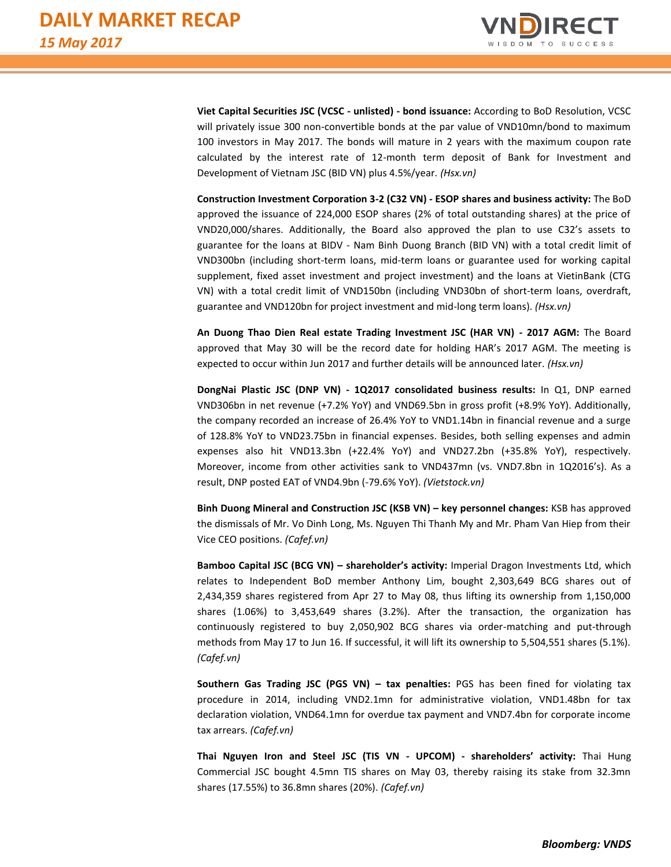

**Viet Capital Securities JSC (VCSC - unlisted) - bond issuance:** According to BoD Resolution, VCSC will privately issue 300 non-convertible bonds at the par value of VND10mn/bond to maximum 100 investors in May 2017. The bonds will mature in 2 years with the maximum coupon rate calculated by the interest rate of 12-month term deposit of Bank for Investment and Development of Vietnam JSC (BID VN) plus 4.5%/year*. (Hsx.vn)* 

**Construction Investment Corporation 3-2 (C32 VN) - ESOP shares and business activity:** The BoD approved the issuance of 224,000 ESOP shares (2% of total outstanding shares) at the price of VND20,000/shares. Additionally, the Board also approved the plan to use C32's assets to guarantee for the loans at BIDV - Nam Binh Duong Branch (BID VN) with a total credit limit of VND300bn (including short-term loans, mid-term loans or guarantee used for working capital supplement, fixed asset investment and project investment) and the loans at VietinBank (CTG VN) with a total credit limit of VND150bn (including VND30bn of short-term loans, overdraft, guarantee and VND120bn for project investment and mid-long term loans). *(Hsx.vn)*

**An Duong Thao Dien Real estate Trading Investment JSC (HAR VN) - 2017 AGM:** The Board approved that May 30 will be the record date for holding HAR's 2017 AGM. The meeting is expected to occur within Jun 2017 and further details will be announced later. *(Hsx.vn)*

**DongNai Plastic JSC (DNP VN) - 1Q2017 consolidated business results:** In Q1, DNP earned VND306bn in net revenue (+7.2% YoY) and VND69.5bn in gross profit (+8.9% YoY). Additionally, the company recorded an increase of 26.4% YoY to VND1.14bn in financial revenue and a surge of 128.8% YoY to VND23.75bn in financial expenses. Besides, both selling expenses and admin expenses also hit VND13.3bn (+22.4% YoY) and VND27.2bn (+35.8% YoY), respectively. Moreover, income from other activities sank to VND437mn (vs. VND7.8bn in 1Q2016's). As a result, DNP posted EAT of VND4.9bn (-79.6% YoY). *(Vietstock.vn)*

**Binh Duong Mineral and Construction JSC (KSB VN) – key personnel changes:** KSB has approved the dismissals of Mr. Vo Dinh Long, Ms. Nguyen Thi Thanh My and Mr. Pham Van Hiep from their Vice CEO positions. *(Cafef.vn)*

**Bamboo Capital JSC (BCG VN) – shareholder's activity:** Imperial Dragon Investments Ltd, which relates to Independent BoD member Anthony Lim, bought 2,303,649 BCG shares out of 2,434,359 shares registered from Apr 27 to May 08, thus lifting its ownership from 1,150,000 shares (1.06%) to 3,453,649 shares (3.2%). After the transaction, the organization has continuously registered to buy 2,050,902 BCG shares via order-matching and put-through methods from May 17 to Jun 16. If successful, it will lift its ownership to 5,504,551 shares (5.1%). *(Cafef.vn)*

**Southern Gas Trading JSC (PGS VN) – tax penalties:** PGS has been fined for violating tax procedure in 2014, including VND2.1mn for administrative violation, VND1.48bn for tax declaration violation, VND64.1mn for overdue tax payment and VND7.4bn for corporate income tax arrears. *(Cafef.vn)*

**Thai Nguyen Iron and Steel JSC (TIS VN - UPCOM) - shareholders' activity:** Thai Hung Commercial JSC bought 4.5mn TIS shares on May 03, thereby raising its stake from 32.3mn shares (17.55%) to 36.8mn shares (20%). *(Cafef.vn)*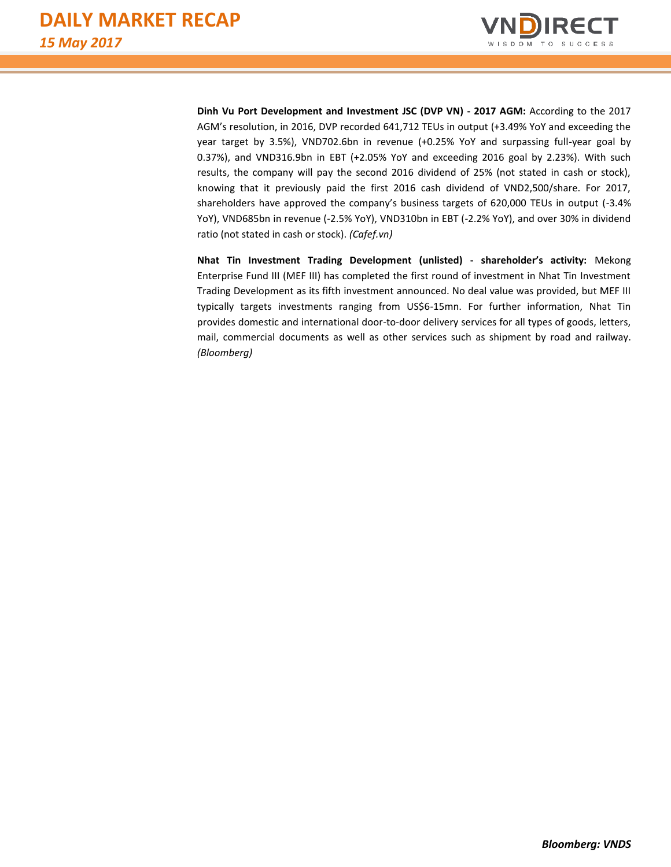

**Dinh Vu Port Development and Investment JSC (DVP VN) - 2017 AGM:** According to the 2017 AGM's resolution, in 2016, DVP recorded 641,712 TEUs in output (+3.49% YoY and exceeding the year target by 3.5%), VND702.6bn in revenue (+0.25% YoY and surpassing full-year goal by 0.37%), and VND316.9bn in EBT (+2.05% YoY and exceeding 2016 goal by 2.23%). With such results, the company will pay the second 2016 dividend of 25% (not stated in cash or stock), knowing that it previously paid the first 2016 cash dividend of VND2,500/share. For 2017, shareholders have approved the company's business targets of 620,000 TEUs in output (-3.4% YoY), VND685bn in revenue (-2.5% YoY), VND310bn in EBT (-2.2% YoY), and over 30% in dividend ratio (not stated in cash or stock). *(Cafef.vn)*

**Nhat Tin Investment Trading Development (unlisted) - shareholder's activity:** Mekong Enterprise Fund III (MEF III) has completed the first round of investment in Nhat Tin Investment Trading Development as its fifth investment announced. No deal value was provided, but MEF III typically targets investments ranging from US\$6-15mn. For further information, Nhat Tin provides domestic and international door-to-door delivery services for all types of goods, letters, mail, commercial documents as well as other services such as shipment by road and railway. *(Bloomberg)*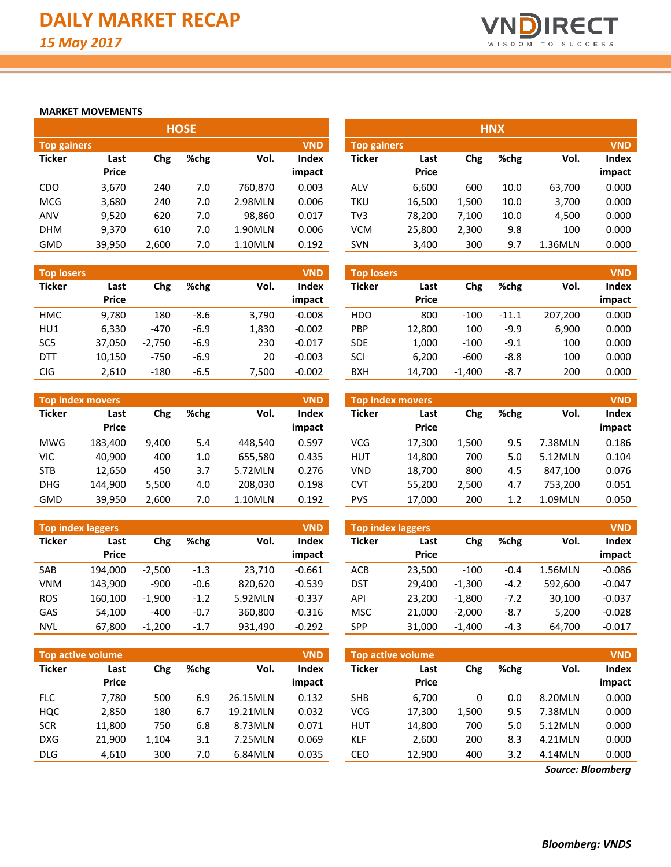

### **MARKET MOVEMENTS**

| <b>HOSE</b>        |              |       |         |         |            |                    |              |       | <b>HNX</b> |         |            |
|--------------------|--------------|-------|---------|---------|------------|--------------------|--------------|-------|------------|---------|------------|
| <b>Top gainers</b> |              |       |         |         | <b>VND</b> | <b>Top gainers</b> |              |       |            |         | <b>VND</b> |
| <b>Ticker</b>      | Last         | Chg   | $%$ chg | Vol.    | Index      | <b>Ticker</b>      | Last         | Chg   | %chg       | Vol.    | Index      |
|                    | <b>Price</b> |       |         |         | impact     |                    | <b>Price</b> |       |            |         | impact     |
| <b>CDO</b>         | 3,670        | 240   | 7.0     | 760,870 | 0.003      | ALV                | 6.600        | 600   | 10.0       | 63,700  | 0.000      |
| <b>MCG</b>         | 3,680        | 240   | 7.0     | 2.98MLN | 0.006      | TKU                | 16,500       | 1,500 | 10.0       | 3,700   | 0.000      |
| <b>ANV</b>         | 9,520        | 620   | 7.0     | 98,860  | 0.017      | TV3                | 78,200       | 7,100 | 10.0       | 4,500   | 0.000      |
| <b>DHM</b>         | 9,370        | 610   | 7.0     | 1.90MLN | 0.006      | <b>VCM</b>         | 25,800       | 2,300 | 9.8        | 100     | 0.000      |
| <b>GMD</b>         | 39.950       | 2.600 | 7.0     | 1.10MLN | 0.192      | <b>SVN</b>         | 3,400        | 300   | 9.7        | 1.36MLN | 0.000      |

|                   |              |          |        |       | <b>VND</b> |                   |              |          |         |         | <b>VND</b> |
|-------------------|--------------|----------|--------|-------|------------|-------------------|--------------|----------|---------|---------|------------|
| <b>Top losers</b> |              |          |        |       |            | <b>Top losers</b> |              |          |         |         |            |
| <b>Ticker</b>     | Last         | Chg      | %chg   | Vol.  | Index      | Ticker            | Last         | Chg      | %chg    | Vol.    | Index      |
|                   | <b>Price</b> |          |        |       | impact     |                   | <b>Price</b> |          |         |         | impact     |
| <b>HMC</b>        | 9.780        | 180      | -8.6   | 3.790 | $-0.008$   | <b>HDO</b>        | 800          | $-100$   | $-11.1$ | 207,200 | 0.000      |
| HU1               | 6.330        | $-470$   | $-6.9$ | 1.830 | $-0.002$   | <b>PBP</b>        | 12,800       | 100      | $-9.9$  | 6,900   | 0.000      |
| SC <sub>5</sub>   | 37.050       | $-2.750$ | $-6.9$ | 230   | $-0.017$   | <b>SDE</b>        | 1,000        | $-100$   | $-9.1$  | 100     | 0.000      |
| <b>DTT</b>        | 10,150       | $-750$   | $-6.9$ | 20    | $-0.003$   | SCI               | 6.200        | $-600$   | $-8.8$  | 100     | 0.000      |
| <b>CIG</b>        | 2,610        | $-180$   | $-6.5$ | 7.500 | $-0.002$   | <b>BXH</b>        | 14.700       | $-1.400$ | $-8.7$  | 200     | 0.000      |

| Top index movers |              |       |      |         | <b>VND</b>   |               | Top index movers |       |      |         | <b>VND</b> |
|------------------|--------------|-------|------|---------|--------------|---------------|------------------|-------|------|---------|------------|
| <b>Ticker</b>    | Last         | Chg   | %chg | Vol.    | <b>Index</b> | <b>Ticker</b> | Last             | Chg   | %chg | Vol.    | Index      |
|                  | <b>Price</b> |       |      |         | impact       |               | <b>Price</b>     |       |      |         | impact     |
| <b>MWG</b>       | 183.400      | 9,400 | 5.4  | 448.540 | 0.597        | <b>VCG</b>    | 17.300           | 1.500 | 9.5  | 7.38MLN | 0.186      |
| VIC              | 40.900       | 400   | 1.0  | 655.580 | 0.435        | <b>HUT</b>    | 14,800           | 700   | 5.0  | 5.12MLN | 0.104      |
| <b>STB</b>       | 12.650       | 450   | 3.7  | 5.72MLN | 0.276        | <b>VND</b>    | 18.700           | 800   | 4.5  | 847.100 | 0.076      |
| <b>DHG</b>       | 144.900      | 5.500 | 4.0  | 208.030 | 0.198        | <b>CVT</b>    | 55.200           | 2.500 | 4.7  | 753.200 | 0.051      |
| GMD              | 39,950       | 2,600 | 7.0  | 1.10MLN | 0.192        | <b>PVS</b>    | 17,000           | 200   | 1.2  | 1.09MLN | 0.050      |

|               | Top index laggers |          |         |         | <b>VND</b> | <b>VND</b><br><b>Top index laggers</b> |              |          |        |         |          |
|---------------|-------------------|----------|---------|---------|------------|----------------------------------------|--------------|----------|--------|---------|----------|
| <b>Ticker</b> | Last              | Chg      | $%$ chg | Vol.    | Index      | <b>Ticker</b>                          | Last         | Chg      | %chg   | Vol.    | Index    |
|               | <b>Price</b>      |          |         |         | impact     |                                        | <b>Price</b> |          |        |         | impact   |
| SAB           | 194.000           | $-2.500$ | $-1.3$  | 23.710  | $-0.661$   | <b>ACB</b>                             | 23.500       | $-100$   | $-0.4$ | 1.56MLN | $-0.086$ |
| <b>VNM</b>    | 143.900           | $-900$   | $-0.6$  | 820,620 | $-0.539$   | <b>DST</b>                             | 29.400       | $-1,300$ | $-4.2$ | 592.600 | $-0.047$ |
| <b>ROS</b>    | 160.100           | $-1.900$ | $-1.2$  | 5.92MLN | $-0.337$   | API                                    | 23.200       | $-1.800$ | $-7.2$ | 30.100  | $-0.037$ |
| GAS           | 54.100            | $-400$   | $-0.7$  | 360.800 | $-0.316$   | <b>MSC</b>                             | 21.000       | $-2.000$ | $-8.7$ | 5,200   | $-0.028$ |
| <b>NVL</b>    | 67,800            | $-1,200$ | $-1.7$  | 931,490 | $-0.292$   | <b>SPP</b>                             | 31,000       | $-1,400$ | $-4.3$ | 64,700  | $-0.017$ |

|               | Top active volume |       |      |          | <b>VND</b>   |               | Top active volume |       |      |         | <b>VND</b> |
|---------------|-------------------|-------|------|----------|--------------|---------------|-------------------|-------|------|---------|------------|
| <b>Ticker</b> | Last              | Chg   | %chg | Vol.     | <b>Index</b> | <b>Ticker</b> | Last              | Chg   | %chg | Vol.    | Index      |
|               | <b>Price</b>      |       |      |          | impact       |               | <b>Price</b>      |       |      |         | impact     |
| <b>FLC</b>    | 7.780             | 500   | 6.9  | 26.15MLN | 0.132        | <b>SHB</b>    | 6.700             | 0     | 0.0  | 8.20MLN | 0.000      |
| HQC           | 2,850             | 180   | 6.7  | 19.21MLN | 0.032        | VCG           | 17,300            | 1,500 | 9.5  | 7.38MLN | 0.000      |
| <b>SCR</b>    | 11,800            | 750   | 6.8  | 8.73MLN  | 0.071        | <b>HUT</b>    | 14,800            | 700   | 5.0  | 5.12MLN | 0.000      |
| <b>DXG</b>    | 21.900            | 1.104 | 3.1  | 7.25MLN  | 0.069        | <b>KLF</b>    | 2,600             | 200   | 8.3  | 4.21MLN | 0.000      |
| <b>DLG</b>    | 4,610             | 300   | 7.0  | 6.84MLN  | 0.035        | CEO           | 12,900            | 400   | 3.2  | 4.14MLN | 0.000      |

| <b>HNX</b>                       |        |       |      |         |        |  |  |  |  |  |
|----------------------------------|--------|-------|------|---------|--------|--|--|--|--|--|
| <b>VND</b><br><b>Top gainers</b> |        |       |      |         |        |  |  |  |  |  |
| <b>Ticker</b>                    | Last   | Chg   | %chg | Vol.    | Index  |  |  |  |  |  |
|                                  | Price  |       |      |         | impact |  |  |  |  |  |
| ALV                              | 6,600  | 600   | 10.0 | 63,700  | 0.000  |  |  |  |  |  |
| TKU                              | 16,500 | 1,500 | 10.0 | 3,700   | 0.000  |  |  |  |  |  |
| TV3                              | 78,200 | 7,100 | 10.0 | 4,500   | 0.000  |  |  |  |  |  |
| <b>VCM</b>                       | 25,800 | 2,300 | 9.8  | 100     | 0.000  |  |  |  |  |  |
| <b>SVN</b>                       | 3,400  | 300   | 9.7  | 1.36MLN | 0.000  |  |  |  |  |  |

| <b>Top losers</b> |              |          |         |         | <b>VND</b>   |
|-------------------|--------------|----------|---------|---------|--------------|
| Ticker            | Last         | Chg      | %chg    | Vol.    | <b>Index</b> |
|                   | <b>Price</b> |          |         |         | impact       |
| HDO               | 800          | $-100$   | $-11.1$ | 207,200 | 0.000        |
| <b>PBP</b>        | 12,800       | 100      | $-9.9$  | 6,900   | 0.000        |
| <b>SDE</b>        | 1,000        | $-100$   | $-9.1$  | 100     | 0.000        |
| SCI               | 6,200        | $-600$   | $-8.8$  | 100     | 0.000        |
| <b>BXH</b>        | 14.700       | $-1,400$ | $-8.7$  | 200     | 0.000        |

| <b>VND</b><br><b>Top index movers</b> |              |       |      |         |        |  |  |  |  |  |
|---------------------------------------|--------------|-------|------|---------|--------|--|--|--|--|--|
| <b>Ticker</b>                         | Last         | Chg   | %chg | Vol.    | Index  |  |  |  |  |  |
|                                       | <b>Price</b> |       |      |         | impact |  |  |  |  |  |
| VCG                                   | 17,300       | 1,500 | 9.5  | 7.38MLN | 0.186  |  |  |  |  |  |
| HUT                                   | 14,800       | 700   | 5.0  | 5.12MLN | 0.104  |  |  |  |  |  |
| VND                                   | 18,700       | 800   | 4.5  | 847,100 | 0.076  |  |  |  |  |  |
| <b>CVT</b>                            | 55,200       | 2,500 | 4.7  | 753,200 | 0.051  |  |  |  |  |  |
| <b>PVS</b>                            | 17,000       | 200   | 1.2  | 1.09MLN | 0.050  |  |  |  |  |  |

| <b>Top index laggers</b><br><b>VND</b> |        |          |        |         |          |  |  |  |  |  |  |  |  |
|----------------------------------------|--------|----------|--------|---------|----------|--|--|--|--|--|--|--|--|
| <b>Ticker</b>                          | Last   | Chg      | %chg   | Vol.    | Index    |  |  |  |  |  |  |  |  |
|                                        | Price  |          |        |         | impact   |  |  |  |  |  |  |  |  |
| ACB                                    | 23,500 | $-100$   | $-0.4$ | 1.56MLN | $-0.086$ |  |  |  |  |  |  |  |  |
| DST                                    | 29,400 | $-1,300$ | $-4.2$ | 592,600 | $-0.047$ |  |  |  |  |  |  |  |  |
| <b>API</b>                             | 23,200 | $-1,800$ | $-7.2$ | 30,100  | $-0.037$ |  |  |  |  |  |  |  |  |
| <b>MSC</b>                             | 21,000 | $-2,000$ | $-8.7$ | 5,200   | $-0.028$ |  |  |  |  |  |  |  |  |
| <b>SPP</b>                             | 31,000 | $-1,400$ | $-4.3$ | 64,700  | $-0.017$ |  |  |  |  |  |  |  |  |

| <b>Top active volume</b> |        |       |      |         |        |  |  |  |  |  |  |  |  |  |
|--------------------------|--------|-------|------|---------|--------|--|--|--|--|--|--|--|--|--|
| <b>Ticker</b>            | Last   | Chg   | %chg | Vol.    | Index  |  |  |  |  |  |  |  |  |  |
|                          | Price  |       |      |         | impact |  |  |  |  |  |  |  |  |  |
| <b>SHB</b>               | 6,700  | 0     | 0.0  | 8.20MLN | 0.000  |  |  |  |  |  |  |  |  |  |
| <b>VCG</b>               | 17,300 | 1,500 | 9.5  | 7.38MLN | 0.000  |  |  |  |  |  |  |  |  |  |
| <b>HUT</b>               | 14,800 | 700   | 5.0  | 5.12MLN | 0.000  |  |  |  |  |  |  |  |  |  |
| KLF                      | 2,600  | 200   | 8.3  | 4.21MLN | 0.000  |  |  |  |  |  |  |  |  |  |
| CEO                      | 12,900 | 400   | 3.2  | 4.14MLN | 0.000  |  |  |  |  |  |  |  |  |  |

*Source: Bloomberg*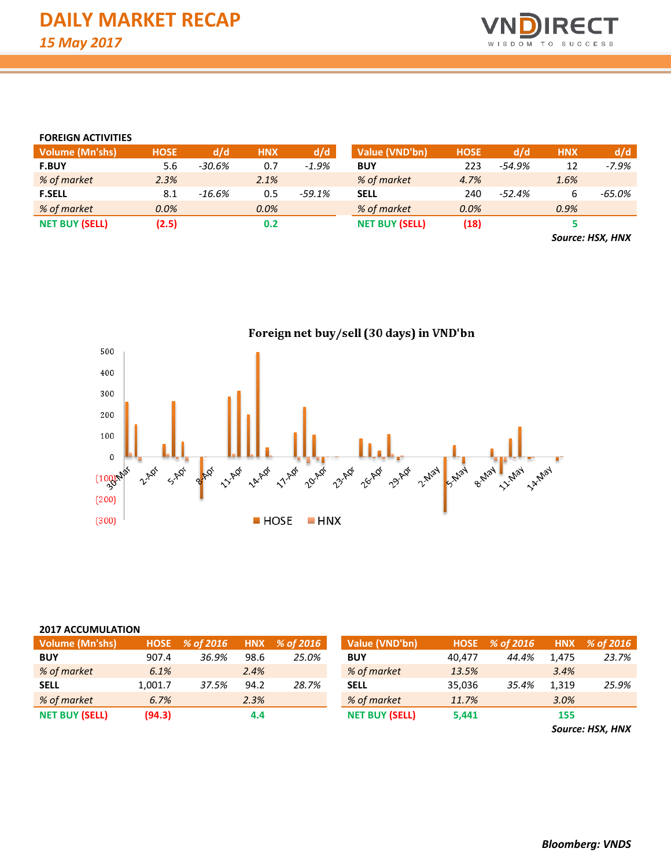

#### **FOREIGN ACTIVITIES**

| <b>Volume (Mn'shs)</b> | <b>HOSE</b> | d/d    | <b>HNX</b> | d/d     | Value (VND'bn)        | <b>HOSE</b> | d/d      | <b>HNX</b>    | d/d     |
|------------------------|-------------|--------|------------|---------|-----------------------|-------------|----------|---------------|---------|
| <b>F.BUY</b>           | 5.6         | -30.6% | 0.7        | $-1.9%$ | <b>BUY</b>            | 223         | $-54.9%$ | 12            | $-7.9%$ |
| % of market            | 2.3%        |        | 2.1%       |         | % of market           | 4.7%        |          | 1.6%          |         |
| <b>F.SELL</b>          | 8.1         | -16.6% | 0.5        | -59.1%  | <b>SELL</b>           | 240         | $-52.4%$ |               | -65.0%  |
| % of market            | 0.0%        |        | $0.0\%$    |         | % of market           | 0.0%        |          | 0.9%          |         |
| <b>NET BUY (SELL)</b>  | (2.5)       |        | 0.2        |         | <b>NET BUY (SELL)</b> | (18)        |          |               |         |
|                        |             |        |            |         |                       |             |          | $\rightarrow$ | .       |

*Source: HSX, HNX*



#### **2017 ACCUMULATION**

| <b>Volume (Mn'shs)</b> |         | HOSE % of 2016 |      | HNX % of 2016 | Value (VND'bn)        | <b>HOSE</b> | % of 2016 |       | HNX % of 2016 |
|------------------------|---------|----------------|------|---------------|-----------------------|-------------|-----------|-------|---------------|
| <b>BUY</b>             | 907.4   | 36.9%          | 98.6 | 25.0%         | <b>BUY</b>            | 40.477      | 44.4%     | 1.475 | 23.7%         |
| % of market            | 6.1%    |                | 2.4% |               | % of market           | 13.5%       |           | 3.4%  |               |
| <b>SELL</b>            | 1.001.7 | 37.5%          | 94.2 | 28.7%         | <b>SELL</b>           | 35,036      | 35.4%     | 1.319 | 25.9%         |
| % of market            | 6.7%    |                | 2.3% |               | % of market           | 11.7%       |           | 3.0%  |               |
| <b>NET BUY (SELL)</b>  | (94.3)  |                | 4.4  |               | <b>NET BUY (SELL)</b> | 5.441       |           | 155   |               |

*Source: HSX, HNX*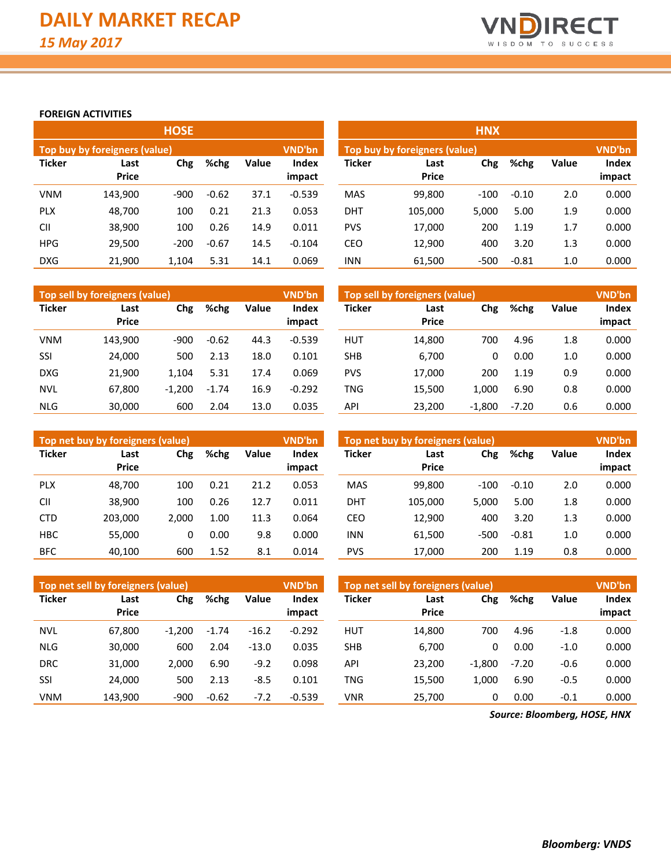

### **FOREIGN ACTIVITIES**

|               |                               | <b>HOSE</b> |         |       |                        | <b>HNX</b>    |                               |        |         |       |                        |  |  |
|---------------|-------------------------------|-------------|---------|-------|------------------------|---------------|-------------------------------|--------|---------|-------|------------------------|--|--|
|               | Top buy by foreigners (value) |             |         |       | VND'bn                 |               | Top buy by foreigners (value) |        |         |       |                        |  |  |
| <b>Ticker</b> | Last<br><b>Price</b>          | Chg         | %chg    | Value | <b>Index</b><br>impact | <b>Ticker</b> | Last<br><b>Price</b>          | Chg    | %chg    | Value | <b>Index</b><br>impact |  |  |
| <b>VNM</b>    | 143.900                       | $-900$      | $-0.62$ | 37.1  | $-0.539$               | <b>MAS</b>    | 99,800                        | $-100$ | $-0.10$ | 2.0   | 0.000                  |  |  |
| <b>PLX</b>    | 48,700                        | 100         | 0.21    | 21.3  | 0.053                  | <b>DHT</b>    | 105.000                       | 5,000  | 5.00    | 1.9   | 0.000                  |  |  |
| CII           | 38,900                        | 100         | 0.26    | 14.9  | 0.011                  | <b>PVS</b>    | 17,000                        | 200    | 1.19    | 1.7   | 0.000                  |  |  |
| <b>HPG</b>    | 29,500                        | $-200$      | $-0.67$ | 14.5  | $-0.104$               | CEO           | 12,900                        | 400    | 3.20    | 1.3   | 0.000                  |  |  |
| <b>DXG</b>    | 21.900                        | 1.104       | 5.31    | 14.1  | 0.069                  | <b>INN</b>    | 61.500                        | $-500$ | $-0.81$ | 1.0   | 0.000                  |  |  |

|               | Top sell by foreigners (value) |          |         |       | VND'bn                 | Top sell by foreigners (value) |                      |          |         |              |                 |
|---------------|--------------------------------|----------|---------|-------|------------------------|--------------------------------|----------------------|----------|---------|--------------|-----------------|
| <b>Ticker</b> | Last<br><b>Price</b>           | Chg      | %chg    | Value | <b>Index</b><br>impact | <b>Ticker</b>                  | Last<br><b>Price</b> | Chg      | %chg    | <b>Value</b> | Index<br>impact |
| <b>VNM</b>    | 143.900                        | $-900$   | $-0.62$ | 44.3  | $-0.539$               | HUT                            | 14,800               | 700      | 4.96    | 1.8          | 0.000           |
| SSI           | 24,000                         | 500      | 2.13    | 18.0  | 0.101                  | <b>SHB</b>                     | 6,700                | 0        | 0.00    | 1.0          | 0.000           |
| <b>DXG</b>    | 21.900                         | 1.104    | 5.31    | 17.4  | 0.069                  | <b>PVS</b>                     | 17,000               | 200      | 1.19    | 0.9          | 0.000           |
| <b>NVL</b>    | 67,800                         | $-1.200$ | $-1.74$ | 16.9  | $-0.292$               | TNG                            | 15,500               | 1.000    | 6.90    | 0.8          | 0.000           |
| <b>NLG</b>    | 30.000                         | 600      | 2.04    | 13.0  | 0.035                  | API                            | 23.200               | $-1.800$ | $-7.20$ | 0.6          | 0.000           |

|               | Top net buy by foreigners (value) |       |      |       | <b>VND'bn</b>   | Top net buy by foreigners (value) |                      |        |         |              |                 |
|---------------|-----------------------------------|-------|------|-------|-----------------|-----------------------------------|----------------------|--------|---------|--------------|-----------------|
| <b>Ticker</b> | Last<br><b>Price</b>              | Chg   | %chg | Value | Index<br>impact | Ticker                            | Last<br><b>Price</b> | Chg    | %chg    | <b>Value</b> | Index<br>impact |
| <b>PLX</b>    | 48.700                            | 100   | 0.21 | 21.2  | 0.053           | <b>MAS</b>                        | 99,800               | $-100$ | $-0.10$ | 2.0          | 0.000           |
| <b>CII</b>    | 38.900                            | 100   | 0.26 | 12.7  | 0.011           | <b>DHT</b>                        | 105,000              | 5.000  | 5.00    | 1.8          | 0.000           |
| <b>CTD</b>    | 203,000                           | 2.000 | 1.00 | 11.3  | 0.064           | <b>CEO</b>                        | 12,900               | 400    | 3.20    | 1.3          | 0.000           |
| <b>HBC</b>    | 55,000                            | 0     | 0.00 | 9.8   | 0.000           | <b>INN</b>                        | 61.500               | $-500$ | $-0.81$ | 1.0          | 0.000           |
| <b>BFC</b>    | 40.100                            | 600   | 1.52 | 8.1   | 0.014           | <b>PVS</b>                        | 17,000               | 200    | 1.19    | 0.8          | 0.000           |

|               | Top net sell by foreigners (value) |          |         |         | <b>VND'bn</b>   | Top net sell by foreigners (value) | <b>VND'bn</b>               |          |         |              |        |
|---------------|------------------------------------|----------|---------|---------|-----------------|------------------------------------|-----------------------------|----------|---------|--------------|--------|
| <b>Ticker</b> | Last<br><b>Price</b>               | Chg      | %chg    | Value   | Index<br>impact | Ticker                             | Chg<br>Last<br><b>Price</b> |          | %chg    | <b>Value</b> | Index  |
|               |                                    |          |         |         |                 |                                    |                             |          |         |              | impact |
| <b>NVL</b>    | 67,800                             | $-1.200$ | $-1.74$ | $-16.2$ | $-0.292$        | HUT                                | 14,800                      | 700      | 4.96    | $-1.8$       | 0.000  |
| <b>NLG</b>    | 30,000                             | 600      | 2.04    | $-13.0$ | 0.035           | <b>SHB</b>                         | 6,700                       | 0        | 0.00    | $-1.0$       | 0.000  |
| <b>DRC</b>    | 31.000                             | 2.000    | 6.90    | $-9.2$  | 0.098           | API                                | 23.200                      | $-1.800$ | $-7.20$ | $-0.6$       | 0.000  |
| SSI           | 24.000                             | 500      | 2.13    | $-8.5$  | 0.101           | TNG                                | 15.500                      | 1.000    | 6.90    | $-0.5$       | 0.000  |
| <b>VNM</b>    | 143.900                            | $-900$   | $-0.62$ | $-7.2$  | $-0.539$        | VNR                                | 25,700                      | 0        | 0.00    | $-0.1$       | 0.000  |

*Source: Bloomberg, HOSE, HNX*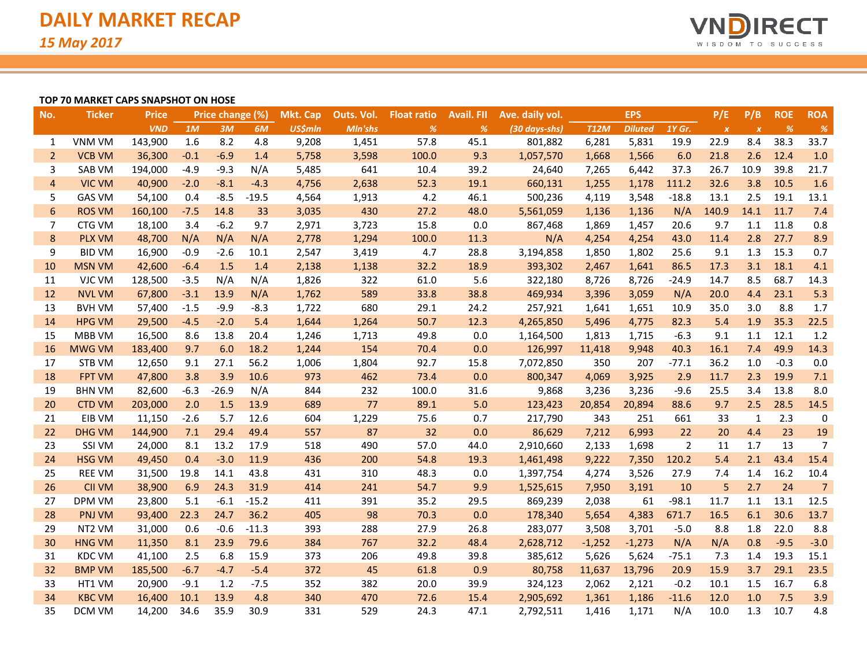

#### **TOP 70 MARKET CAPS SNAPSHOT ON HOSE**

| No.              | <b>Ticker</b>      | <b>Price</b> |        | Price change (%) |         | Mkt. Cap       | Outs. Vol. | <b>Float ratio</b> | <b>Avail, FII</b> | Ave. daily vol. |             | <b>EPS</b>     |         | P/E              | P/B              | <b>ROE</b> | <b>ROA</b>     |
|------------------|--------------------|--------------|--------|------------------|---------|----------------|------------|--------------------|-------------------|-----------------|-------------|----------------|---------|------------------|------------------|------------|----------------|
|                  |                    | <b>VND</b>   | 1M     | 3M               | 6M      | <b>US\$mln</b> | Mln'shs    | %                  | %                 | (30 days-shs)   | <b>T12M</b> | <b>Diluted</b> | 1Y Gr.  | $\boldsymbol{X}$ | $\boldsymbol{x}$ | %          | $\frac{9}{6}$  |
| 1                | <b>VNM VM</b>      | 143,900      | 1.6    | 8.2              | 4.8     | 9,208          | 1,451      | 57.8               | 45.1              | 801,882         | 6,281       | 5,831          | 19.9    | 22.9             | 8.4              | 38.3       | 33.7           |
| $\overline{2}$   | <b>VCB VM</b>      | 36,300       | $-0.1$ | $-6.9$           | 1.4     | 5,758          | 3,598      | 100.0              | 9.3               | 1,057,570       | 1,668       | 1,566          | 6.0     | 21.8             | 2.6              | 12.4       | 1.0            |
| 3                | SAB VM             | 194,000      | $-4.9$ | $-9.3$           | N/A     | 5,485          | 641        | 10.4               | 39.2              | 24,640          | 7,265       | 6,442          | 37.3    | 26.7             | 10.9             | 39.8       | 21.7           |
| $\overline{4}$   | <b>VIC VM</b>      | 40,900       | $-2.0$ | $-8.1$           | $-4.3$  | 4,756          | 2,638      | 52.3               | 19.1              | 660,131         | 1,255       | 1,178          | 111.2   | 32.6             | 3.8              | 10.5       | 1.6            |
| 5                | <b>GAS VM</b>      | 54,100       | 0.4    | $-8.5$           | $-19.5$ | 4,564          | 1,913      | 4.2                | 46.1              | 500,236         | 4,119       | 3,548          | $-18.8$ | 13.1             | 2.5              | 19.1       | 13.1           |
| 6                | <b>ROS VM</b>      | 160,100      | $-7.5$ | 14.8             | 33      | 3,035          | 430        | 27.2               | 48.0              | 5,561,059       | 1,136       | 1,136          | N/A     | 140.9            | 14.1             | 11.7       | 7.4            |
| 7                | CTG VM             | 18,100       | 3.4    | $-6.2$           | 9.7     | 2,971          | 3,723      | 15.8               | 0.0               | 867,468         | 1,869       | 1,457          | 20.6    | 9.7              | 1.1              | 11.8       | 0.8            |
| $\boldsymbol{8}$ | <b>PLX VM</b>      | 48,700       | N/A    | N/A              | N/A     | 2,778          | 1,294      | 100.0              | 11.3              | N/A             | 4,254       | 4,254          | 43.0    | 11.4             | 2.8              | 27.7       | 8.9            |
| 9                | <b>BID VM</b>      | 16,900       | $-0.9$ | $-2.6$           | 10.1    | 2,547          | 3,419      | 4.7                | 28.8              | 3,194,858       | 1,850       | 1,802          | 25.6    | 9.1              | 1.3              | 15.3       | 0.7            |
| 10               | <b>MSN VM</b>      | 42,600       | $-6.4$ | 1.5              | 1.4     | 2,138          | 1,138      | 32.2               | 18.9              | 393,302         | 2,467       | 1,641          | 86.5    | 17.3             | 3.1              | 18.1       | 4.1            |
| 11               | VJC VM             | 128,500      | $-3.5$ | N/A              | N/A     | 1,826          | 322        | 61.0               | 5.6               | 322,180         | 8,726       | 8,726          | $-24.9$ | 14.7             | 8.5              | 68.7       | 14.3           |
| 12               | <b>NVL VM</b>      | 67,800       | $-3.1$ | 13.9             | N/A     | 1,762          | 589        | 33.8               | 38.8              | 469,934         | 3,396       | 3,059          | N/A     | 20.0             | 4.4              | 23.1       | 5.3            |
| 13               | <b>BVH VM</b>      | 57,400       | $-1.5$ | $-9.9$           | $-8.3$  | 1,722          | 680        | 29.1               | 24.2              | 257,921         | 1,641       | 1,651          | 10.9    | 35.0             | 3.0              | 8.8        | 1.7            |
| 14               | <b>HPG VM</b>      | 29,500       | $-4.5$ | $-2.0$           | 5.4     | 1,644          | 1,264      | 50.7               | 12.3              | 4,265,850       | 5,496       | 4,775          | 82.3    | 5.4              | 1.9              | 35.3       | 22.5           |
| 15               | MBB VM             | 16,500       | 8.6    | 13.8             | 20.4    | 1,246          | 1,713      | 49.8               | 0.0               | 1,164,500       | 1,813       | 1,715          | $-6.3$  | 9.1              | 1.1              | 12.1       | 1.2            |
| 16               | <b>MWG VM</b>      | 183,400      | 9.7    | 6.0              | 18.2    | 1,244          | 154        | 70.4               | 0.0               | 126,997         | 11,418      | 9,948          | 40.3    | 16.1             | 7.4              | 49.9       | 14.3           |
| 17               | STB VM             | 12,650       | 9.1    | 27.1             | 56.2    | 1,006          | 1,804      | 92.7               | 15.8              | 7,072,850       | 350         | 207            | $-77.1$ | 36.2             | 1.0              | $-0.3$     | 0.0            |
| 18               | <b>FPT VM</b>      | 47,800       | 3.8    | 3.9              | 10.6    | 973            | 462        | 73.4               | 0.0               | 800,347         | 4,069       | 3,925          | 2.9     | 11.7             | 2.3              | 19.9       | 7.1            |
| 19               | <b>BHN VM</b>      | 82,600       | $-6.3$ | $-26.9$          | N/A     | 844            | 232        | 100.0              | 31.6              | 9,868           | 3,236       | 3,236          | $-9.6$  | 25.5             | 3.4              | 13.8       | 8.0            |
| 20               | <b>CTD VM</b>      | 203,000      | 2.0    | 1.5              | 13.9    | 689            | 77         | 89.1               | 5.0               | 123,423         | 20,854      | 20,894         | 88.6    | 9.7              | 2.5              | 28.5       | 14.5           |
| 21               | EIB VM             | 11,150       | $-2.6$ | 5.7              | 12.6    | 604            | 1,229      | 75.6               | 0.7               | 217,790         | 343         | 251            | 661     | 33               | $\mathbf{1}$     | 2.3        | 0              |
| 22               | <b>DHG VM</b>      | 144,900      | 7.1    | 29.4             | 49.4    | 557            | 87         | 32                 | 0.0               | 86,629          | 7,212       | 6,993          | 22      | 20               | 4.4              | 23         | 19             |
| 23               | SSI VM             | 24,000       | 8.1    | 13.2             | 17.9    | 518            | 490        | 57.0               | 44.0              | 2,910,660       | 2,133       | 1,698          | 2       | 11               | 1.7              | 13         | 7              |
| 24               | <b>HSG VM</b>      | 49,450       | 0.4    | $-3.0$           | 11.9    | 436            | 200        | 54.8               | 19.3              | 1,461,498       | 9,222       | 7,350          | 120.2   | 5.4              | 2.1              | 43.4       | 15.4           |
| 25               | <b>REE VM</b>      | 31,500       | 19.8   | 14.1             | 43.8    | 431            | 310        | 48.3               | 0.0               | 1,397,754       | 4,274       | 3,526          | 27.9    | 7.4              | 1.4              | 16.2       | 10.4           |
| 26               | <b>CII VM</b>      | 38,900       | 6.9    | 24.3             | 31.9    | 414            | 241        | 54.7               | 9.9               | 1,525,615       | 7,950       | 3,191          | 10      | 5                | 2.7              | 24         | $\overline{7}$ |
| 27               | DPM VM             | 23,800       | 5.1    | $-6.1$           | $-15.2$ | 411            | 391        | 35.2               | 29.5              | 869,239         | 2,038       | 61             | $-98.1$ | 11.7             | 1.1              | 13.1       | 12.5           |
| 28               | <b>PNJ VM</b>      | 93,400       | 22.3   | 24.7             | 36.2    | 405            | 98         | 70.3               | 0.0               | 178,340         | 5,654       | 4,383          | 671.7   | 16.5             | 6.1              | 30.6       | 13.7           |
| 29               | NT <sub>2</sub> VM | 31,000       | 0.6    | $-0.6$           | $-11.3$ | 393            | 288        | 27.9               | 26.8              | 283,077         | 3,508       | 3,701          | $-5.0$  | 8.8              | 1.8              | 22.0       | 8.8            |
| 30               | <b>HNG VM</b>      | 11,350       | 8.1    | 23.9             | 79.6    | 384            | 767        | 32.2               | 48.4              | 2,628,712       | $-1,252$    | $-1,273$       | N/A     | N/A              | 0.8              | $-9.5$     | $-3.0$         |
| 31               | <b>KDC VM</b>      | 41,100       | 2.5    | 6.8              | 15.9    | 373            | 206        | 49.8               | 39.8              | 385,612         | 5,626       | 5,624          | $-75.1$ | 7.3              | 1.4              | 19.3       | 15.1           |
| 32               | <b>BMP VM</b>      | 185,500      | $-6.7$ | $-4.7$           | $-5.4$  | 372            | 45         | 61.8               | 0.9               | 80,758          | 11,637      | 13,796         | 20.9    | 15.9             | 3.7              | 29.1       | 23.5           |
| 33               | HT1 VM             | 20,900       | $-9.1$ | 1.2              | $-7.5$  | 352            | 382        | 20.0               | 39.9              | 324,123         | 2,062       | 2,121          | $-0.2$  | 10.1             | 1.5              | 16.7       | 6.8            |
| 34               | <b>KBC VM</b>      | 16,400       | 10.1   | 13.9             | 4.8     | 340            | 470        | 72.6               | 15.4              | 2,905,692       | 1,361       | 1,186          | $-11.6$ | 12.0             | 1.0              | 7.5        | 3.9            |
| 35               | DCM VM             | 14,200       | 34.6   | 35.9             | 30.9    | 331            | 529        | 24.3               | 47.1              | 2,792,511       | 1,416       | 1,171          | N/A     | 10.0             | 1.3              | 10.7       | 4.8            |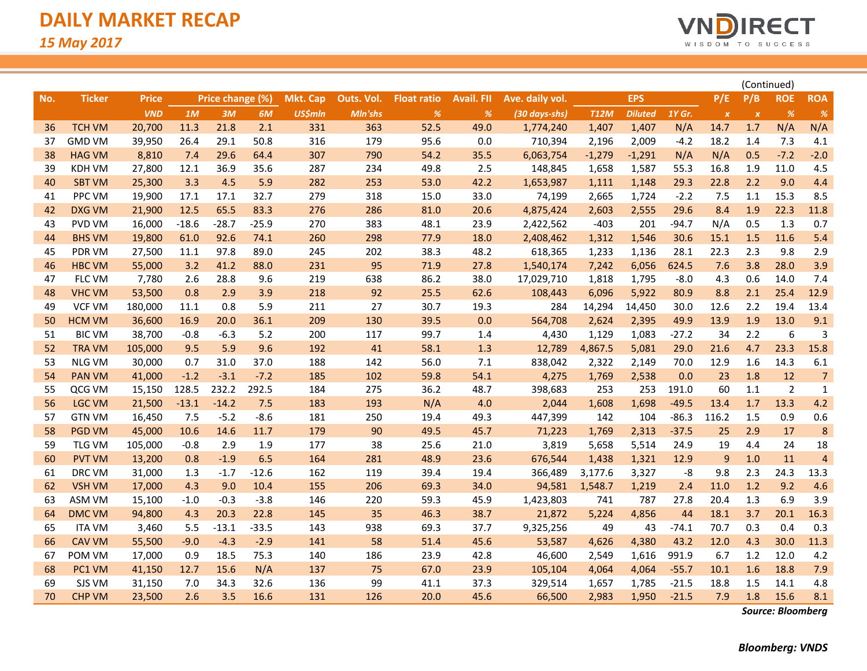

|     |               |              |         |                  |         |                 |            |                    |                   |                 |             |                |         |                  | (Continued)      |                |                |
|-----|---------------|--------------|---------|------------------|---------|-----------------|------------|--------------------|-------------------|-----------------|-------------|----------------|---------|------------------|------------------|----------------|----------------|
| No. | <b>Ticker</b> | <b>Price</b> |         | Price change (%) |         | <b>Mkt. Cap</b> | Outs. Vol. | <b>Float ratio</b> | <b>Avail. FII</b> | Ave. daily vol. |             | <b>EPS</b>     |         | P/E              | P/B              | <b>ROE</b>     | <b>ROA</b>     |
|     |               | <b>VND</b>   | 1M      | 3M               | 6M      | <b>US\$mln</b>  | Mln'shs    | $\%$               | %                 | (30 days-shs)   | <b>T12M</b> | <b>Diluted</b> | 1Y Gr.  | $\boldsymbol{X}$ | $\boldsymbol{X}$ | $\frac{9}{6}$  | %              |
| 36  | <b>TCH VM</b> | 20,700       | 11.3    | 21.8             | 2.1     | 331             | 363        | 52.5               | 49.0              | 1,774,240       | 1,407       | 1,407          | N/A     | 14.7             | 1.7              | N/A            | N/A            |
| 37  | <b>GMD VM</b> | 39,950       | 26.4    | 29.1             | 50.8    | 316             | 179        | 95.6               | 0.0               | 710,394         | 2,196       | 2,009          | $-4.2$  | 18.2             | 1.4              | 7.3            | 4.1            |
| 38  | <b>HAG VM</b> | 8,810        | 7.4     | 29.6             | 64.4    | 307             | 790        | 54.2               | 35.5              | 6,063,754       | $-1,279$    | $-1,291$       | N/A     | N/A              | 0.5              | $-7.2$         | $-2.0$         |
| 39  | <b>KDH VM</b> | 27,800       | 12.1    | 36.9             | 35.6    | 287             | 234        | 49.8               | 2.5               | 148,845         | 1,658       | 1,587          | 55.3    | 16.8             | 1.9              | 11.0           | 4.5            |
| 40  | <b>SBT VM</b> | 25,300       | 3.3     | 4.5              | 5.9     | 282             | 253        | 53.0               | 42.2              | 1,653,987       | 1,111       | 1,148          | 29.3    | 22.8             | 2.2              | 9.0            | 4.4            |
| 41  | PPC VM        | 19,900       | 17.1    | 17.1             | 32.7    | 279             | 318        | 15.0               | 33.0              | 74,199          | 2,665       | 1,724          | $-2.2$  | 7.5              | 1.1              | 15.3           | 8.5            |
| 42  | <b>DXG VM</b> | 21,900       | 12.5    | 65.5             | 83.3    | 276             | 286        | 81.0               | 20.6              | 4,875,424       | 2,603       | 2,555          | 29.6    | 8.4              | 1.9              | 22.3           | 11.8           |
| 43  | PVD VM        | 16,000       | $-18.6$ | $-28.7$          | $-25.9$ | 270             | 383        | 48.1               | 23.9              | 2,422,562       | $-403$      | 201            | $-94.7$ | N/A              | 0.5              | 1.3            | 0.7            |
| 44  | <b>BHS VM</b> | 19,800       | 61.0    | 92.6             | 74.1    | 260             | 298        | 77.9               | 18.0              | 2,408,462       | 1,312       | 1,546          | 30.6    | 15.1             | 1.5              | 11.6           | 5.4            |
| 45  | PDR VM        | 27,500       | 11.1    | 97.8             | 89.0    | 245             | 202        | 38.3               | 48.2              | 618,365         | 1,233       | 1,136          | 28.1    | 22.3             | 2.3              | 9.8            | 2.9            |
| 46  | <b>HBC VM</b> | 55,000       | 3.2     | 41.2             | 88.0    | 231             | 95         | 71.9               | 27.8              | 1,540,174       | 7,242       | 6,056          | 624.5   | 7.6              | 3.8              | 28.0           | 3.9            |
| 47  | FLC VM        | 7,780        | 2.6     | 28.8             | 9.6     | 219             | 638        | 86.2               | 38.0              | 17,029,710      | 1,818       | 1,795          | $-8.0$  | 4.3              | 0.6              | 14.0           | 7.4            |
| 48  | <b>VHC VM</b> | 53,500       | 0.8     | 2.9              | 3.9     | 218             | 92         | 25.5               | 62.6              | 108,443         | 6,096       | 5,922          | 80.9    | 8.8              | 2.1              | 25.4           | 12.9           |
| 49  | <b>VCF VM</b> | 180,000      | 11.1    | 0.8              | 5.9     | 211             | 27         | 30.7               | 19.3              | 284             | 14,294      | 14,450         | 30.0    | 12.6             | 2.2              | 19.4           | 13.4           |
| 50  | <b>HCM VM</b> | 36,600       | 16.9    | 20.0             | 36.1    | 209             | 130        | 39.5               | 0.0               | 564,708         | 2,624       | 2,395          | 49.9    | 13.9             | 1.9              | 13.0           | 9.1            |
| 51  | <b>BIC VM</b> | 38,700       | $-0.8$  | $-6.3$           | 5.2     | 200             | 117        | 99.7               | 1.4               | 4,430           | 1,129       | 1,083          | $-27.2$ | 34               | 2.2              | 6              | 3              |
| 52  | <b>TRA VM</b> | 105,000      | 9.5     | 5.9              | 9.6     | 192             | 41         | 58.1               | 1.3               | 12,789          | 4,867.5     | 5,081          | 29.0    | 21.6             | 4.7              | 23.3           | 15.8           |
| 53  | <b>NLG VM</b> | 30,000       | 0.7     | 31.0             | 37.0    | 188             | 142        | 56.0               | 7.1               | 838,042         | 2,322       | 2,149          | 70.0    | 12.9             | 1.6              | 14.3           | 6.1            |
| 54  | <b>PAN VM</b> | 41,000       | $-1.2$  | $-3.1$           | $-7.2$  | 185             | 102        | 59.8               | 54.1              | 4,275           | 1,769       | 2,538          | 0.0     | 23               | 1.8              | 12             | $\overline{7}$ |
| 55  | QCG VM        | 15,150       | 128.5   | 232.2            | 292.5   | 184             | 275        | 36.2               | 48.7              | 398,683         | 253         | 253            | 191.0   | 60               | 1.1              | $\overline{2}$ | $\mathbf{1}$   |
| 56  | <b>LGC VM</b> | 21,500       | $-13.1$ | $-14.2$          | 7.5     | 183             | 193        | N/A                | 4.0               | 2,044           | 1,608       | 1,698          | $-49.5$ | 13.4             | 1.7              | 13.3           | 4.2            |
| 57  | <b>GTN VM</b> | 16,450       | 7.5     | $-5.2$           | $-8.6$  | 181             | 250        | 19.4               | 49.3              | 447,399         | 142         | 104            | $-86.3$ | 116.2            | 1.5              | 0.9            | 0.6            |
| 58  | <b>PGD VM</b> | 45,000       | 10.6    | 14.6             | 11.7    | 179             | 90         | 49.5               | 45.7              | 71,223          | 1,769       | 2,313          | $-37.5$ | 25               | 2.9              | 17             | 8              |
| 59  | <b>TLG VM</b> | 105,000      | $-0.8$  | 2.9              | 1.9     | 177             | 38         | 25.6               | 21.0              | 3,819           | 5,658       | 5,514          | 24.9    | 19               | 4.4              | 24             | 18             |
| 60  | <b>PVT VM</b> | 13,200       | 0.8     | $-1.9$           | 6.5     | 164             | 281        | 48.9               | 23.6              | 676,544         | 1,438       | 1,321          | 12.9    | 9                | 1.0              | 11             | $\overline{4}$ |
| 61  | DRC VM        | 31,000       | 1.3     | $-1.7$           | $-12.6$ | 162             | 119        | 39.4               | 19.4              | 366,489         | 3,177.6     | 3,327          | -8      | 9.8              | 2.3              | 24.3           | 13.3           |
| 62  | <b>VSH VM</b> | 17,000       | 4.3     | 9.0              | 10.4    | 155             | 206        | 69.3               | 34.0              | 94,581          | 1,548.7     | 1,219          | 2.4     | 11.0             | 1.2              | 9.2            | 4.6            |
| 63  | ASM VM        | 15,100       | $-1.0$  | $-0.3$           | $-3.8$  | 146             | 220        | 59.3               | 45.9              | 1,423,803       | 741         | 787            | 27.8    | 20.4             | 1.3              | 6.9            | 3.9            |
| 64  | <b>DMC VM</b> | 94,800       | 4.3     | 20.3             | 22.8    | 145             | 35         | 46.3               | 38.7              | 21,872          | 5,224       | 4,856          | 44      | 18.1             | 3.7              | 20.1           | 16.3           |
| 65  | <b>ITA VM</b> | 3,460        | 5.5     | $-13.1$          | $-33.5$ | 143             | 938        | 69.3               | 37.7              | 9,325,256       | 49          | 43             | $-74.1$ | 70.7             | 0.3              | 0.4            | 0.3            |
| 66  | <b>CAV VM</b> | 55,500       | $-9.0$  | $-4.3$           | $-2.9$  | 141             | 58         | 51.4               | 45.6              | 53,587          | 4,626       | 4,380          | 43.2    | 12.0             | 4.3              | 30.0           | 11.3           |
| 67  | POM VM        | 17,000       | 0.9     | 18.5             | 75.3    | 140             | 186        | 23.9               | 42.8              | 46,600          | 2,549       | 1,616          | 991.9   | 6.7              | 1.2              | 12.0           | 4.2            |
| 68  | PC1 VM        | 41,150       | 12.7    | 15.6             | N/A     | 137             | 75         | 67.0               | 23.9              | 105,104         | 4,064       | 4,064          | $-55.7$ | 10.1             | 1.6              | 18.8           | 7.9            |
| 69  | SJS VM        | 31,150       | 7.0     | 34.3             | 32.6    | 136             | 99         | 41.1               | 37.3              | 329,514         | 1,657       | 1,785          | $-21.5$ | 18.8             | 1.5              | 14.1           | 4.8            |
| 70  | <b>CHP VM</b> | 23,500       | 2.6     | 3.5              | 16.6    | 131             | 126        | 20.0               | 45.6              | 66,500          | 2,983       | 1,950          | $-21.5$ | 7.9              | 1.8              | 15.6           | 8.1            |

*Source: Bloomberg*